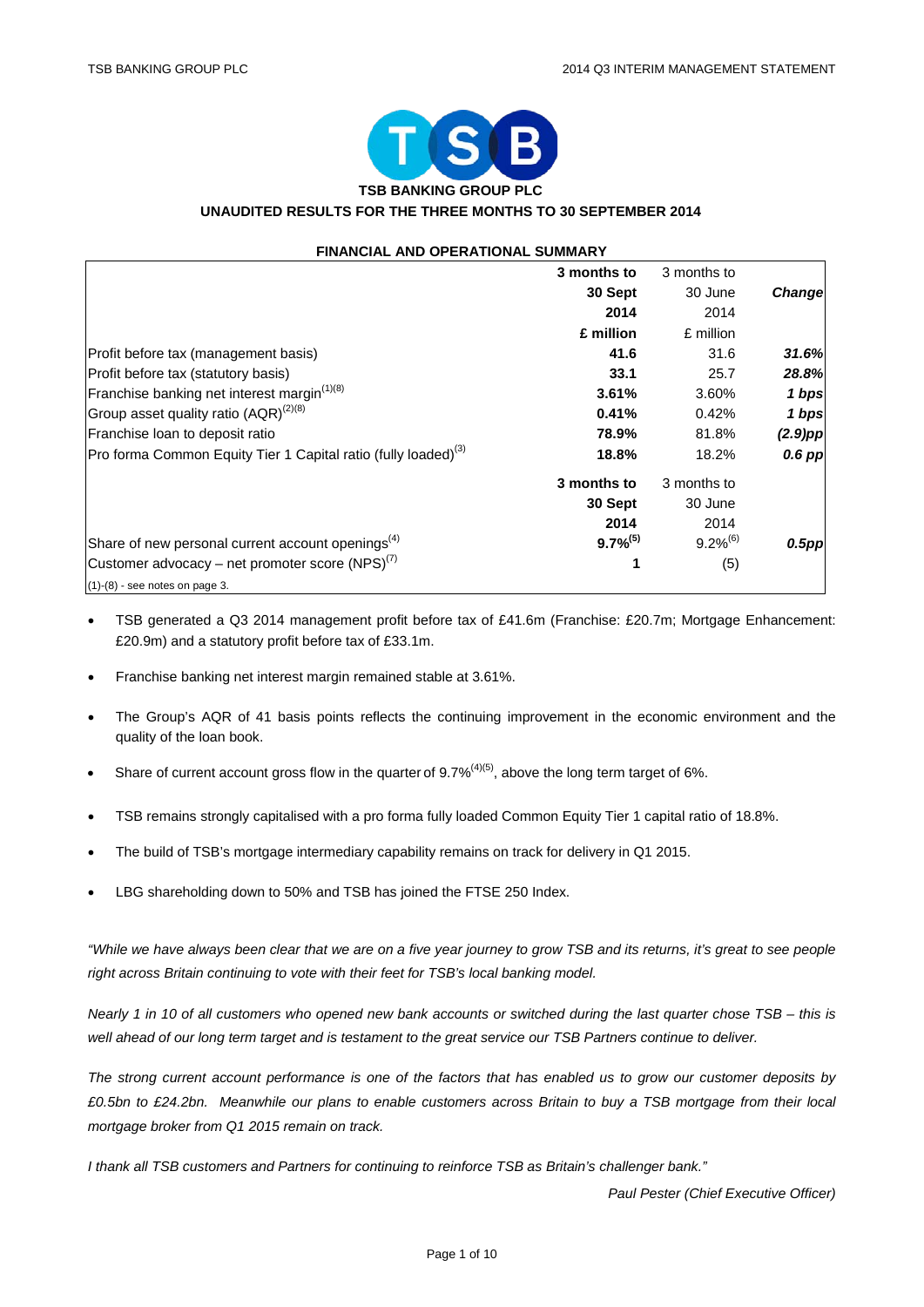

## **UNAUDITED RESULTS FOR THE THREE MONTHS TO 30 SEPTEMBER 2014**

| <b>FINANCIAL AND OPERATIONAL SUMMARY</b>                                   |               |               |            |
|----------------------------------------------------------------------------|---------------|---------------|------------|
|                                                                            | 3 months to   | 3 months to   |            |
|                                                                            | 30 Sept       | 30 June       | Change     |
|                                                                            | 2014          | 2014          |            |
|                                                                            | £ million     | £ million     |            |
| Profit before tax (management basis)                                       | 41.6          | 31.6          | 31.6%      |
| Profit before tax (statutory basis)                                        | 33.1          | 25.7          | 28.8%      |
| Franchise banking net interest margin <sup>(1)(8)</sup>                    | 3.61%         | 3.60%         | 1 bps      |
| Group asset quality ratio (AQR) <sup>(2)(8)</sup>                          | 0.41%         | 0.42%         | 1 bps      |
| Franchise loan to deposit ratio                                            | 78.9%         | 81.8%         | $(2.9)$ pp |
| Pro forma Common Equity Tier 1 Capital ratio (fully loaded) <sup>(3)</sup> | 18.8%         | 18.2%         | $0.6$ pp   |
|                                                                            | 3 months to   | 3 months to   |            |
|                                                                            | 30 Sept       | 30 June       |            |
|                                                                            | 2014          | 2014          |            |
| Share of new personal current account openings <sup>(4)</sup>              | $9.7\%^{(5)}$ | $9.2\%^{(6)}$ | $0.5$ pp   |
| Customer advocacy – net promoter score (NPS) $^{(7)}$                      | 1             | (5)           |            |
| $(1)-(8)$ - see notes on page 3.                                           |               |               |            |

- TSB generated a Q3 2014 management profit before tax of £41.6m (Franchise: £20.7m; Mortgage Enhancement: £20.9m) and a statutory profit before tax of £33.1m.
- Franchise banking net interest margin remained stable at 3.61%.
- The Group's AQR of 41 basis points reflects the continuing improvement in the economic environment and the quality of the loan book.
- Share of current account gross flow in the quarter of  $9.7\%$ <sup>(4)(5)</sup>, above the long term target of 6%.
- TSB remains strongly capitalised with a pro forma fully loaded Common Equity Tier 1 capital ratio of 18.8%.
- The build of TSB's mortgage intermediary capability remains on track for delivery in Q1 2015.
- LBG shareholding down to 50% and TSB has joined the FTSE 250 Index.

*"While we have always been clear that we are on a five year journey to grow TSB and its returns, it's great to see people right across Britain continuing to vote with their feet for TSB's local banking model.* 

*Nearly 1 in 10 of all customers who opened new bank accounts or switched during the last quarter chose TSB – this is well ahead of our long term target and is testament to the great service our TSB Partners continue to deliver.*

*The strong current account performance is one of the factors that has enabled us to grow our customer deposits by £0.5bn to £24.2bn. Meanwhile our plans to enable customers across Britain to buy a TSB mortgage from their local mortgage broker from Q1 2015 remain on track.*

*I thank all TSB customers and Partners for continuing to reinforce TSB as Britain's challenger bank."*

*Paul Pester (Chief Executive Officer)*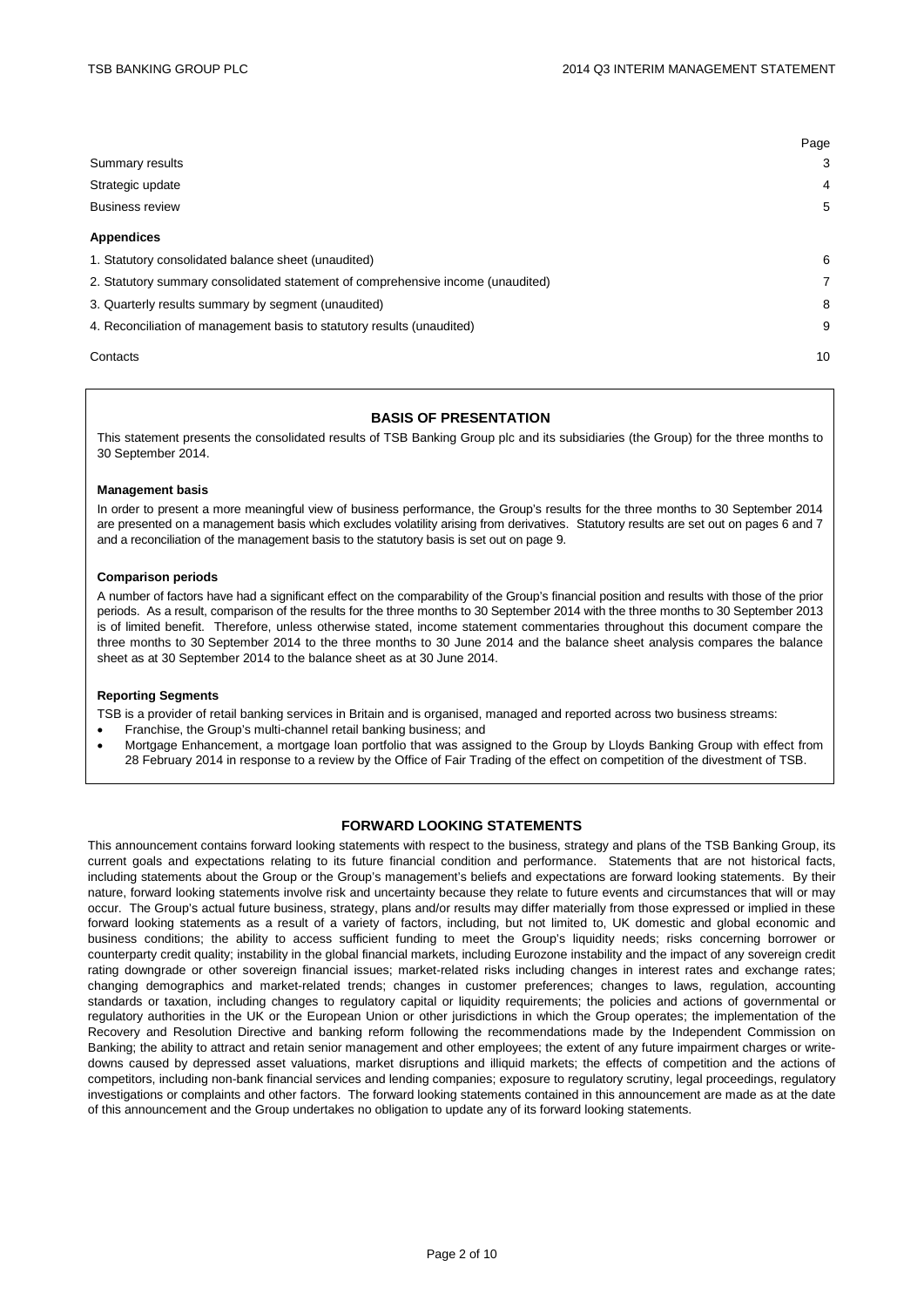|                                                                                 | Page           |
|---------------------------------------------------------------------------------|----------------|
| Summary results                                                                 | 3              |
| Strategic update                                                                | $\overline{4}$ |
| <b>Business review</b>                                                          | 5              |
| <b>Appendices</b>                                                               |                |
| 1. Statutory consolidated balance sheet (unaudited)                             | 6              |
| 2. Statutory summary consolidated statement of comprehensive income (unaudited) | $\overline{7}$ |
| 3. Quarterly results summary by segment (unaudited)                             | 8              |
| 4. Reconciliation of management basis to statutory results (unaudited)          | 9              |
| Contacts                                                                        | 10             |

#### **BASIS OF PRESENTATION**

This statement presents the consolidated results of TSB Banking Group plc and its subsidiaries (the Group) for the three months to 30 September 2014.

#### **Management basis**

In order to present a more meaningful view of business performance, the Group's results for the three months to 30 September 2014 are presented on a management basis which excludes volatility arising from derivatives. Statutory results are set out on pages 6 and 7 and a reconciliation of the management basis to the statutory basis is set out on page 9.

#### **Comparison periods**

A number of factors have had a significant effect on the comparability of the Group's financial position and results with those of the prior periods. As a result, comparison of the results for the three months to 30 September 2014 with the three months to 30 September 2013 is of limited benefit. Therefore, unless otherwise stated, income statement commentaries throughout this document compare the three months to 30 September 2014 to the three months to 30 June 2014 and the balance sheet analysis compares the balance sheet as at 30 September 2014 to the balance sheet as at 30 June 2014.

#### **Reporting Segments**

TSB is a provider of retail banking services in Britain and is organised, managed and reported across two business streams:

- Franchise, the Group's multi-channel retail banking business; and
- Mortgage Enhancement, a mortgage loan portfolio that was assigned to the Group by Lloyds Banking Group with effect from 28 February 2014 in response to a review by the Office of Fair Trading of the effect on competition of the divestment of TSB.

### **FORWARD LOOKING STATEMENTS**

This announcement contains forward looking statements with respect to the business, strategy and plans of the TSB Banking Group, its current goals and expectations relating to its future financial condition and performance. Statements that are not historical facts, including statements about the Group or the Group's management's beliefs and expectations are forward looking statements. By their nature, forward looking statements involve risk and uncertainty because they relate to future events and circumstances that will or may occur. The Group's actual future business, strategy, plans and/or results may differ materially from those expressed or implied in these forward looking statements as a result of a variety of factors, including, but not limited to, UK domestic and global economic and business conditions; the ability to access sufficient funding to meet the Group's liquidity needs; risks concerning borrower or counterparty credit quality; instability in the global financial markets, including Eurozone instability and the impact of any sovereign credit rating downgrade or other sovereign financial issues; market-related risks including changes in interest rates and exchange rates; changing demographics and market-related trends; changes in customer preferences; changes to laws, regulation, accounting standards or taxation, including changes to regulatory capital or liquidity requirements; the policies and actions of governmental or regulatory authorities in the UK or the European Union or other jurisdictions in which the Group operates; the implementation of the Recovery and Resolution Directive and banking reform following the recommendations made by the Independent Commission on Banking; the ability to attract and retain senior management and other employees; the extent of any future impairment charges or writedowns caused by depressed asset valuations, market disruptions and illiquid markets; the effects of competition and the actions of competitors, including non-bank financial services and lending companies; exposure to regulatory scrutiny, legal proceedings, regulatory investigations or complaints and other factors. The forward looking statements contained in this announcement are made as at the date of this announcement and the Group undertakes no obligation to update any of its forward looking statements.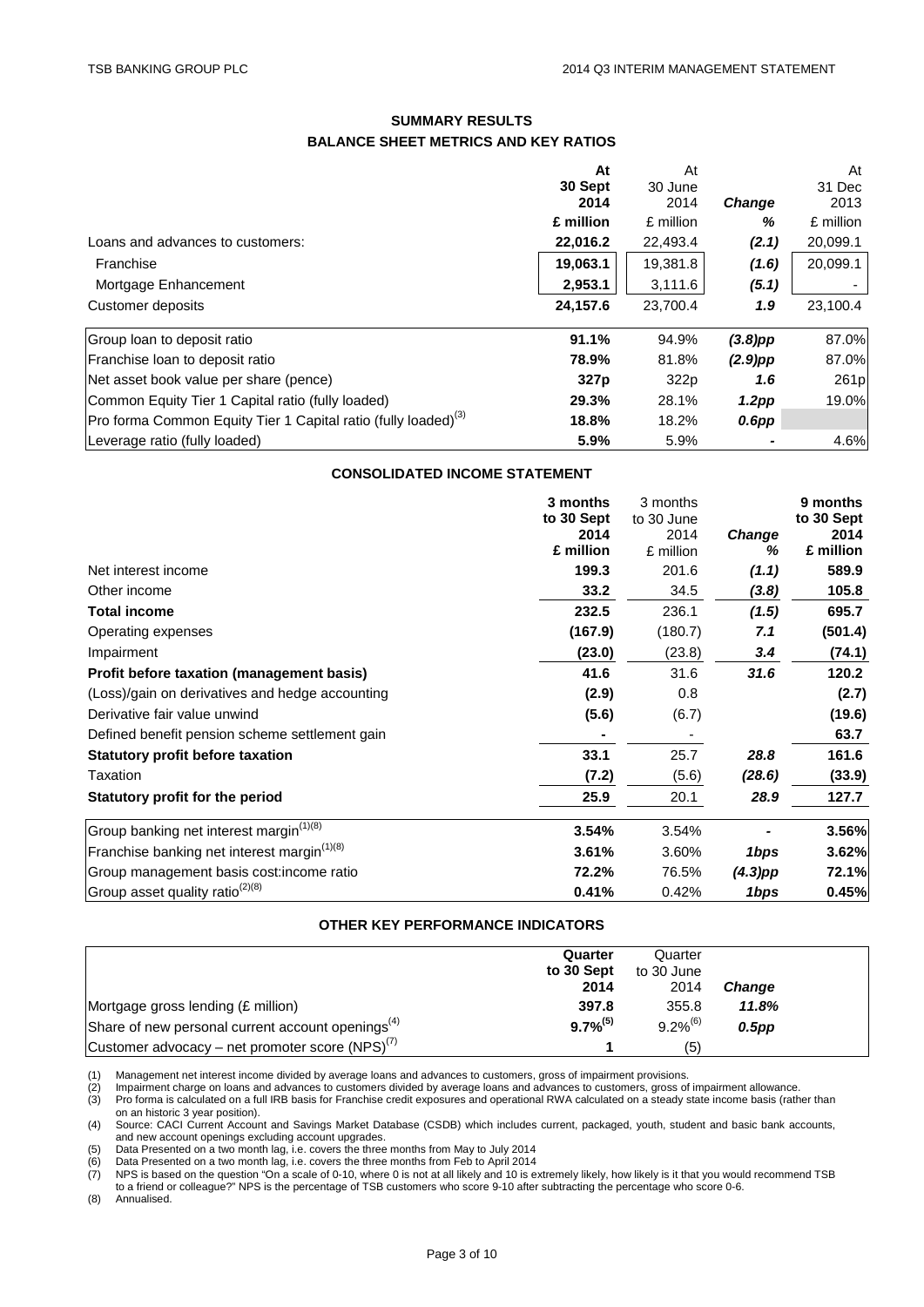## **SUMMARY RESULTS BALANCE SHEET METRICS AND KEY RATIOS**

|                                                                            | At               | At        |                   | At        |
|----------------------------------------------------------------------------|------------------|-----------|-------------------|-----------|
|                                                                            | 30 Sept          | 30 June   |                   | 31 Dec    |
|                                                                            | 2014             | 2014      | <b>Change</b>     | 2013      |
|                                                                            | £ million        | £ million | %                 | £ million |
| Loans and advances to customers:                                           | 22,016.2         | 22,493.4  | (2.1)             | 20,099.1  |
| Franchise                                                                  | 19,063.1         | 19,381.8  | (1.6)             | 20,099.1  |
| Mortgage Enhancement                                                       | 2,953.1          | 3,111.6   | (5.1)             |           |
| Customer deposits                                                          | 24.157.6         | 23.700.4  | 1.9               | 23,100.4  |
| Group loan to deposit ratio                                                | 91.1%            | 94.9%     | $(3.8)$ pp        | 87.0%     |
| Franchise Ioan to deposit ratio                                            | 78.9%            | 81.8%     | $(2.9)$ pp        | 87.0%     |
| Net asset book value per share (pence)                                     | 327 <sub>p</sub> | 322p      | 1.6               | 261p      |
| Common Equity Tier 1 Capital ratio (fully loaded)                          | 29.3%            | 28.1%     | 1.2 <sub>pp</sub> | 19.0%     |
| Pro forma Common Equity Tier 1 Capital ratio (fully loaded) <sup>(3)</sup> | 18.8%            | 18.2%     | $0.6$ pp          |           |
| Leverage ratio (fully loaded)                                              | 5.9%             | 5.9%      |                   | 4.6%      |

## **CONSOLIDATED INCOME STATEMENT**

|                                                         | 3 months<br>to 30 Sept | 3 months<br>to 30 June |               | 9 months           |
|---------------------------------------------------------|------------------------|------------------------|---------------|--------------------|
|                                                         | 2014                   | 2014                   | <b>Change</b> | to 30 Sept<br>2014 |
|                                                         | £ million              | £ million              | ℅             | £ million          |
| Net interest income                                     | 199.3                  | 201.6                  | (1.1)         | 589.9              |
| Other income                                            | 33.2                   | 34.5                   | (3.8)         | 105.8              |
| <b>Total income</b>                                     | 232.5                  | 236.1                  | (1.5)         | 695.7              |
| Operating expenses                                      | (167.9)                | (180.7)                | 7.1           | (501.4)            |
| Impairment                                              | (23.0)                 | (23.8)                 | 3.4           | (74.1)             |
| Profit before taxation (management basis)               | 41.6                   | 31.6                   | 31.6          | 120.2              |
| (Loss)/gain on derivatives and hedge accounting         | (2.9)                  | 0.8                    |               | (2.7)              |
| Derivative fair value unwind                            | (5.6)                  | (6.7)                  |               | (19.6)             |
| Defined benefit pension scheme settlement gain          |                        |                        |               | 63.7               |
| <b>Statutory profit before taxation</b>                 | 33.1                   | 25.7                   | 28.8          | 161.6              |
| Taxation                                                | (7.2)                  | (5.6)                  | (28.6)        | (33.9)             |
| Statutory profit for the period                         | 25.9                   | 20.1                   | 28.9          | 127.7              |
| Group banking net interest margin <sup>(1)(8)</sup>     | 3.54%                  | 3.54%                  |               | 3.56%              |
| Franchise banking net interest margin <sup>(1)(8)</sup> | 3.61%                  | 3.60%                  | 1bps          | 3.62%              |
| Group management basis cost: income ratio               | 72.2%                  | 76.5%                  | $(4.3)$ pp    | 72.1%              |
| Group asset quality ratio <sup>(2)(8)</sup>             | 0.41%                  | 0.42%                  | 1bps          | 0.45%              |

## **OTHER KEY PERFORMANCE INDICATORS**

|                                                               | Quarter<br>to 30 Sept<br>2014 | Quarter<br>to 30 June<br>2014 | <b>Change</b> |  |
|---------------------------------------------------------------|-------------------------------|-------------------------------|---------------|--|
| Mortgage gross lending (£ million)                            | 397.8                         | 355.8                         | 11.8%         |  |
| Share of new personal current account openings <sup>(4)</sup> | $9.7\%^{(5)}$                 | $9.2\%^{(6)}$                 | $0.5$ pp      |  |
| Customer advocacy – net promoter score (NPS) $^{(7)}$         |                               | (5)                           |               |  |

(1) Management net interest income divided by average loans and advances to customers, gross of impairment provisions.<br>(2) Impairment charge on loans and advances to customers divided by average loans and advances to custo (2) Impairment charge on loans and advances to customers divided by average loans and advances to customers, gross of impairment allowance.

(3) Pro forma is calculated on a full IRB basis for Franchise credit exposures and operational RWA calculated on a steady state income basis (rather than on an historic 3 year position). (4) Source: CACI Current Account and Savings Market Database (CSDB) which includes current, packaged, youth, student and basic bank accounts,

and new account openings excluding account upgrades.

(5) Data Presented on a two month lag, i.e. covers the three months from May to July 2014<br>(6) Data Presented on a two month lag, i.e. covers the three months from Feb to April 2014<br>(7) NPS is based on the question "On a sc (6) Data Presented on a two month lag, i.e. covers the three months from Feb to April 2014

(7) NPS is based on the question "On a scale of 0-10, where 0 is not at all likely and 10 is extremely likely, how likely is it that you would recommend TSB to a friend or colleague?" NPS is the percentage of TSB customers who score 9-10 after subtracting the percentage who score 0-6.

(8) Annualised.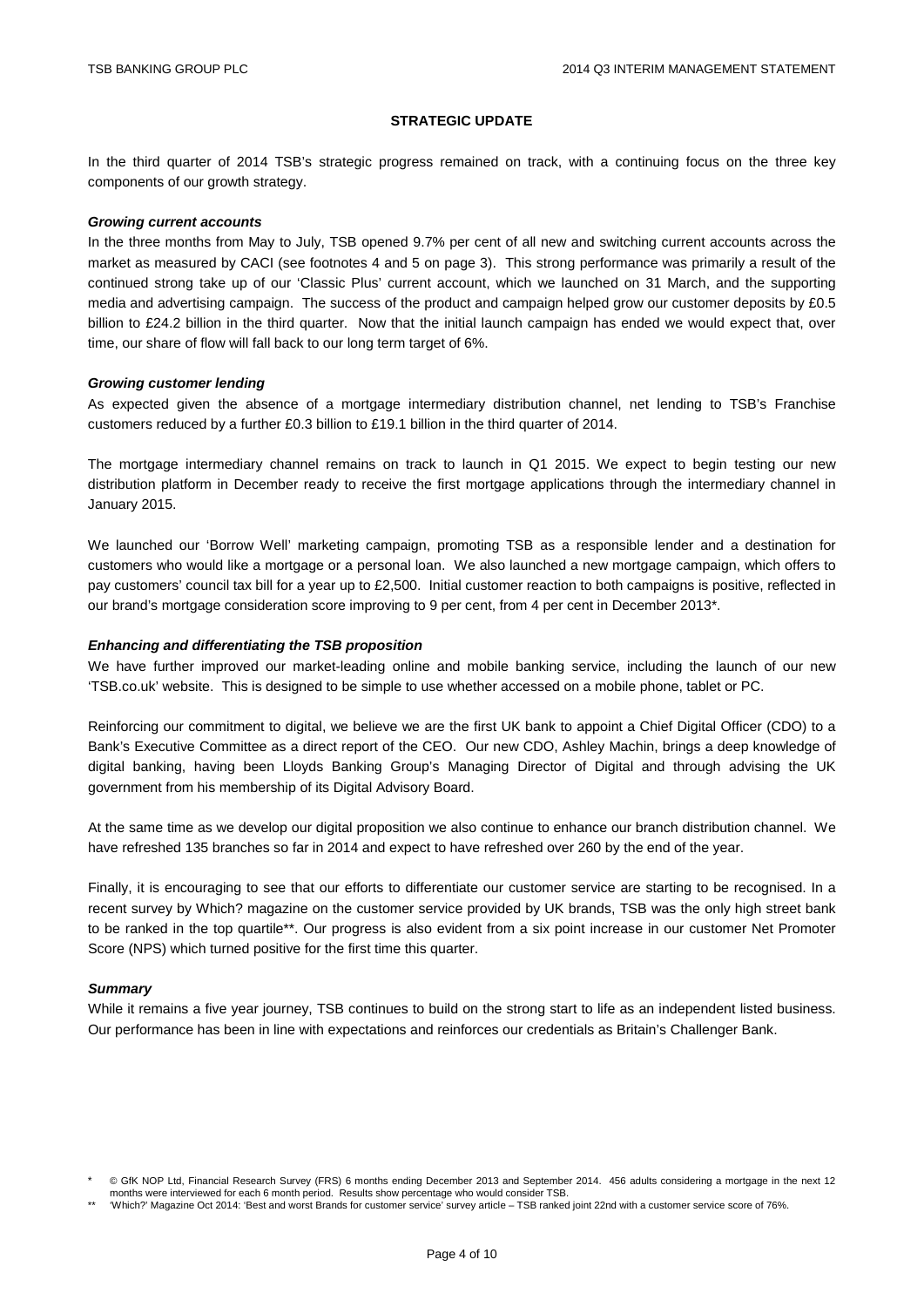#### **STRATEGIC UPDATE**

In the third quarter of 2014 TSB's strategic progress remained on track, with a continuing focus on the three key components of our growth strategy.

#### *Growing current accounts*

In the three months from May to July, TSB opened 9.7% per cent of all new and switching current accounts across the market as measured by CACI (see footnotes 4 and 5 on page 3). This strong performance was primarily a result of the continued strong take up of our 'Classic Plus' current account, which we launched on 31 March, and the supporting media and advertising campaign. The success of the product and campaign helped grow our customer deposits by £0.5 billion to £24.2 billion in the third quarter. Now that the initial launch campaign has ended we would expect that, over time, our share of flow will fall back to our long term target of 6%.

### *Growing customer lending*

As expected given the absence of a mortgage intermediary distribution channel, net lending to TSB's Franchise customers reduced by a further £0.3 billion to £19.1 billion in the third quarter of 2014.

The mortgage intermediary channel remains on track to launch in Q1 2015. We expect to begin testing our new distribution platform in December ready to receive the first mortgage applications through the intermediary channel in January 2015.

We launched our 'Borrow Well' marketing campaign, promoting TSB as a responsible lender and a destination for customers who would like a mortgage or a personal loan. We also launched a new mortgage campaign, which offers to pay customers' council tax bill for a year up to £2,500. Initial customer reaction to both campaigns is positive, reflected in our brand's mortgage consideration score improving to 9 per cent, from 4 per cent in December 2013\*.

### *Enhancing and differentiating the TSB proposition*

We have further improved our market-leading online and mobile banking service, including the launch of our new 'TSB.co.uk' website. This is designed to be simple to use whether accessed on a mobile phone, tablet or PC.

Reinforcing our commitment to digital, we believe we are the first UK bank to appoint a Chief Digital Officer (CDO) to a Bank's Executive Committee as a direct report of the CEO. Our new CDO, Ashley Machin, brings a deep knowledge of digital banking, having been Lloyds Banking Group's Managing Director of Digital and through advising the UK government from his membership of its Digital Advisory Board.

At the same time as we develop our digital proposition we also continue to enhance our branch distribution channel. We have refreshed 135 branches so far in 2014 and expect to have refreshed over 260 by the end of the year.

Finally, it is encouraging to see that our efforts to differentiate our customer service are starting to be recognised. In a recent survey by Which? magazine on the customer service provided by UK brands, TSB was the only high street bank to be ranked in the top quartile\*\*. Our progress is also evident from a six point increase in our customer Net Promoter Score (NPS) which turned positive for the first time this quarter.

#### *Summary*

While it remains a five year journey, TSB continues to build on the strong start to life as an independent listed business. Our performance has been in line with expectations and reinforces our credentials as Britain's Challenger Bank.

<sup>\*</sup> © GfK NOP Ltd, Financial Research Survey (FRS) 6 months ending December 2013 and September 2014. 456 adults considering a mortgage in the next 12 months were interviewed for each 6 month period. Results show percentage who would consider TSB.

<sup>\*\* &#</sup>x27;Which?' Magazine Oct 2014: 'Best and worst Brands for customer service' survey article – TSB ranked joint 22nd with a customer service score of 76%.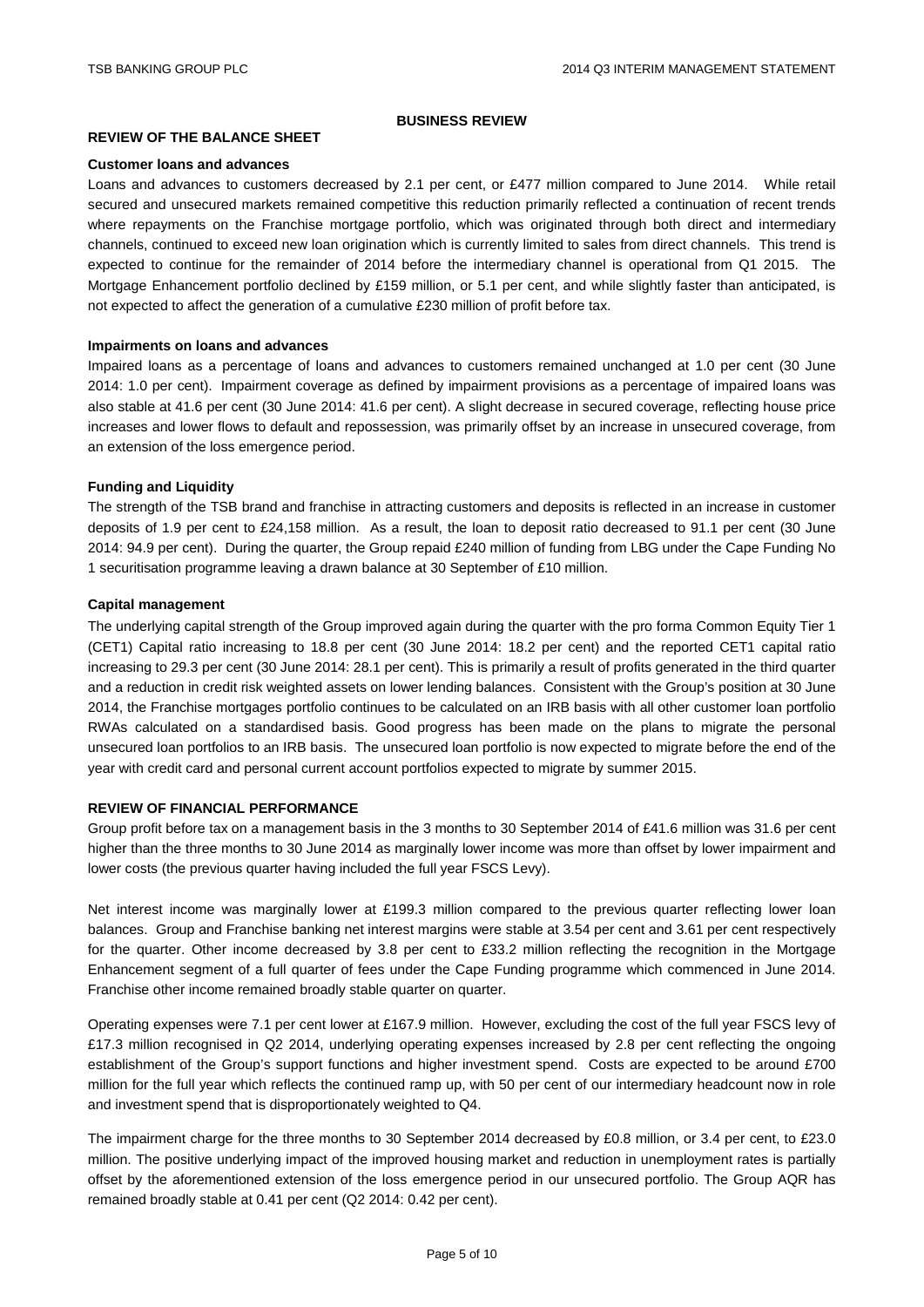#### **BUSINESS REVIEW**

### **REVIEW OF THE BALANCE SHEET**

#### **Customer loans and advances**

Loans and advances to customers decreased by 2.1 per cent, or £477 million compared to June 2014. While retail secured and unsecured markets remained competitive this reduction primarily reflected a continuation of recent trends where repayments on the Franchise mortgage portfolio, which was originated through both direct and intermediary channels, continued to exceed new loan origination which is currently limited to sales from direct channels. This trend is expected to continue for the remainder of 2014 before the intermediary channel is operational from Q1 2015. The Mortgage Enhancement portfolio declined by £159 million, or 5.1 per cent, and while slightly faster than anticipated, is not expected to affect the generation of a cumulative £230 million of profit before tax.

### **Impairments on loans and advances**

Impaired loans as a percentage of loans and advances to customers remained unchanged at 1.0 per cent (30 June 2014: 1.0 per cent). Impairment coverage as defined by impairment provisions as a percentage of impaired loans was also stable at 41.6 per cent (30 June 2014: 41.6 per cent). A slight decrease in secured coverage, reflecting house price increases and lower flows to default and repossession, was primarily offset by an increase in unsecured coverage, from an extension of the loss emergence period.

#### **Funding and Liquidity**

The strength of the TSB brand and franchise in attracting customers and deposits is reflected in an increase in customer deposits of 1.9 per cent to £24,158 million. As a result, the loan to deposit ratio decreased to 91.1 per cent (30 June 2014: 94.9 per cent). During the quarter, the Group repaid £240 million of funding from LBG under the Cape Funding No 1 securitisation programme leaving a drawn balance at 30 September of £10 million.

### **Capital management**

The underlying capital strength of the Group improved again during the quarter with the pro forma Common Equity Tier 1 (CET1) Capital ratio increasing to 18.8 per cent (30 June 2014: 18.2 per cent) and the reported CET1 capital ratio increasing to 29.3 per cent (30 June 2014: 28.1 per cent). This is primarily a result of profits generated in the third quarter and a reduction in credit risk weighted assets on lower lending balances. Consistent with the Group's position at 30 June 2014, the Franchise mortgages portfolio continues to be calculated on an IRB basis with all other customer loan portfolio RWAs calculated on a standardised basis. Good progress has been made on the plans to migrate the personal unsecured loan portfolios to an IRB basis. The unsecured loan portfolio is now expected to migrate before the end of the year with credit card and personal current account portfolios expected to migrate by summer 2015.

### **REVIEW OF FINANCIAL PERFORMANCE**

Group profit before tax on a management basis in the 3 months to 30 September 2014 of £41.6 million was 31.6 per cent higher than the three months to 30 June 2014 as marginally lower income was more than offset by lower impairment and lower costs (the previous quarter having included the full year FSCS Levy).

Net interest income was marginally lower at £199.3 million compared to the previous quarter reflecting lower loan balances. Group and Franchise banking net interest margins were stable at 3.54 per cent and 3.61 per cent respectively for the quarter. Other income decreased by 3.8 per cent to £33.2 million reflecting the recognition in the Mortgage Enhancement segment of a full quarter of fees under the Cape Funding programme which commenced in June 2014. Franchise other income remained broadly stable quarter on quarter.

Operating expenses were 7.1 per cent lower at £167.9 million. However, excluding the cost of the full year FSCS levy of £17.3 million recognised in Q2 2014, underlying operating expenses increased by 2.8 per cent reflecting the ongoing establishment of the Group's support functions and higher investment spend. Costs are expected to be around £700 million for the full year which reflects the continued ramp up, with 50 per cent of our intermediary headcount now in role and investment spend that is disproportionately weighted to Q4.

The impairment charge for the three months to 30 September 2014 decreased by £0.8 million, or 3.4 per cent, to £23.0 million. The positive underlying impact of the improved housing market and reduction in unemployment rates is partially offset by the aforementioned extension of the loss emergence period in our unsecured portfolio. The Group AQR has remained broadly stable at 0.41 per cent (Q2 2014: 0.42 per cent).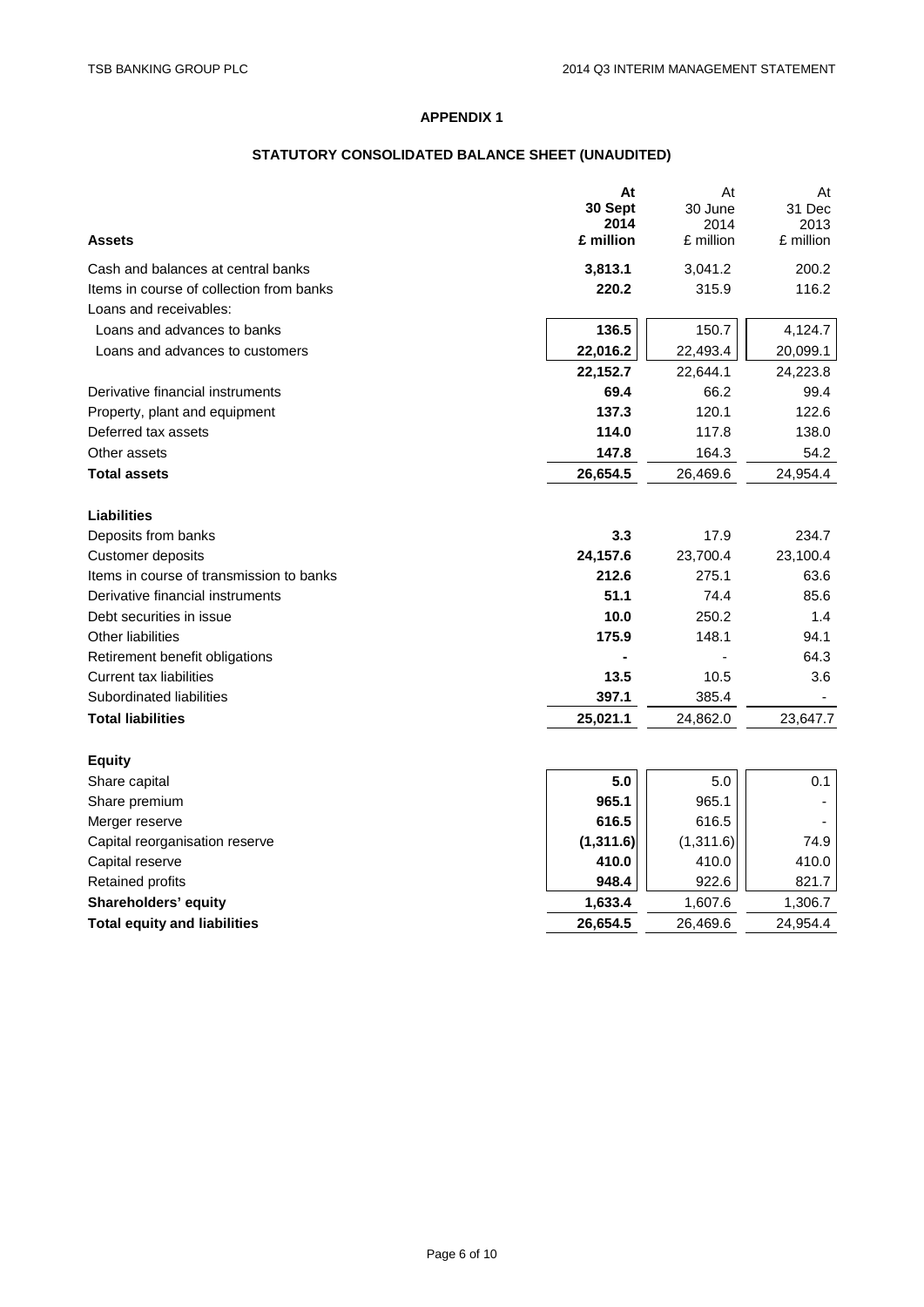## **STATUTORY CONSOLIDATED BALANCE SHEET (UNAUDITED)**

| <b>Assets</b>                            | At<br>30 Sept<br>2014<br>£ million | At<br>30 June<br>2014<br>£ million | At<br>31 Dec<br>2013<br>£ million |
|------------------------------------------|------------------------------------|------------------------------------|-----------------------------------|
| Cash and balances at central banks       | 3,813.1                            | 3,041.2                            | 200.2                             |
| Items in course of collection from banks | 220.2                              | 315.9                              | 116.2                             |
| Loans and receivables:                   |                                    |                                    |                                   |
| Loans and advances to banks              | 136.5                              | 150.7                              | 4,124.7                           |
| Loans and advances to customers          | 22,016.2                           | 22,493.4                           | 20,099.1                          |
|                                          | 22,152.7                           | 22,644.1                           | 24,223.8                          |
| Derivative financial instruments         | 69.4                               | 66.2                               | 99.4                              |
| Property, plant and equipment            | 137.3                              | 120.1                              | 122.6                             |
| Deferred tax assets                      | 114.0                              | 117.8                              | 138.0                             |
| Other assets                             | 147.8                              | 164.3                              | 54.2                              |
| <b>Total assets</b>                      | 26,654.5                           | 26,469.6                           | 24,954.4                          |
|                                          |                                    |                                    |                                   |
| <b>Liabilities</b>                       |                                    |                                    |                                   |
| Deposits from banks                      | 3.3                                | 17.9                               | 234.7                             |
| Customer deposits                        | 24,157.6                           | 23,700.4                           | 23,100.4                          |
| Items in course of transmission to banks | 212.6                              | 275.1                              | 63.6                              |
| Derivative financial instruments         | 51.1                               | 74.4                               | 85.6                              |
| Debt securities in issue                 | 10.0                               | 250.2                              | 1.4                               |
| <b>Other liabilities</b>                 | 175.9                              | 148.1                              | 94.1                              |
| Retirement benefit obligations           |                                    |                                    | 64.3                              |
| <b>Current tax liabilities</b>           | 13.5                               | 10.5                               | 3.6                               |
| Subordinated liabilities                 | 397.1                              | 385.4                              |                                   |
| <b>Total liabilities</b>                 | 25,021.1                           | 24,862.0                           | 23,647.7                          |
| <b>Equity</b>                            |                                    |                                    |                                   |
| Share capital                            | 5.0                                | 5.0                                | 0.1                               |
| Share premium                            | 965.1                              | 965.1                              |                                   |
| Merger reserve                           | 616.5                              | 616.5                              |                                   |
| Capital reorganisation reserve           | (1, 311.6)                         | (1,311.6)                          | 74.9                              |
| Capital reserve                          | 410.0                              | 410.0                              | 410.0                             |
| <b>Retained profits</b>                  | 948.4                              | 922.6                              | 821.7                             |
| Shareholders' equity                     | 1,633.4                            | 1,607.6                            | 1,306.7                           |
| <b>Total equity and liabilities</b>      | 26,654.5                           | 26,469.6                           | 24,954.4                          |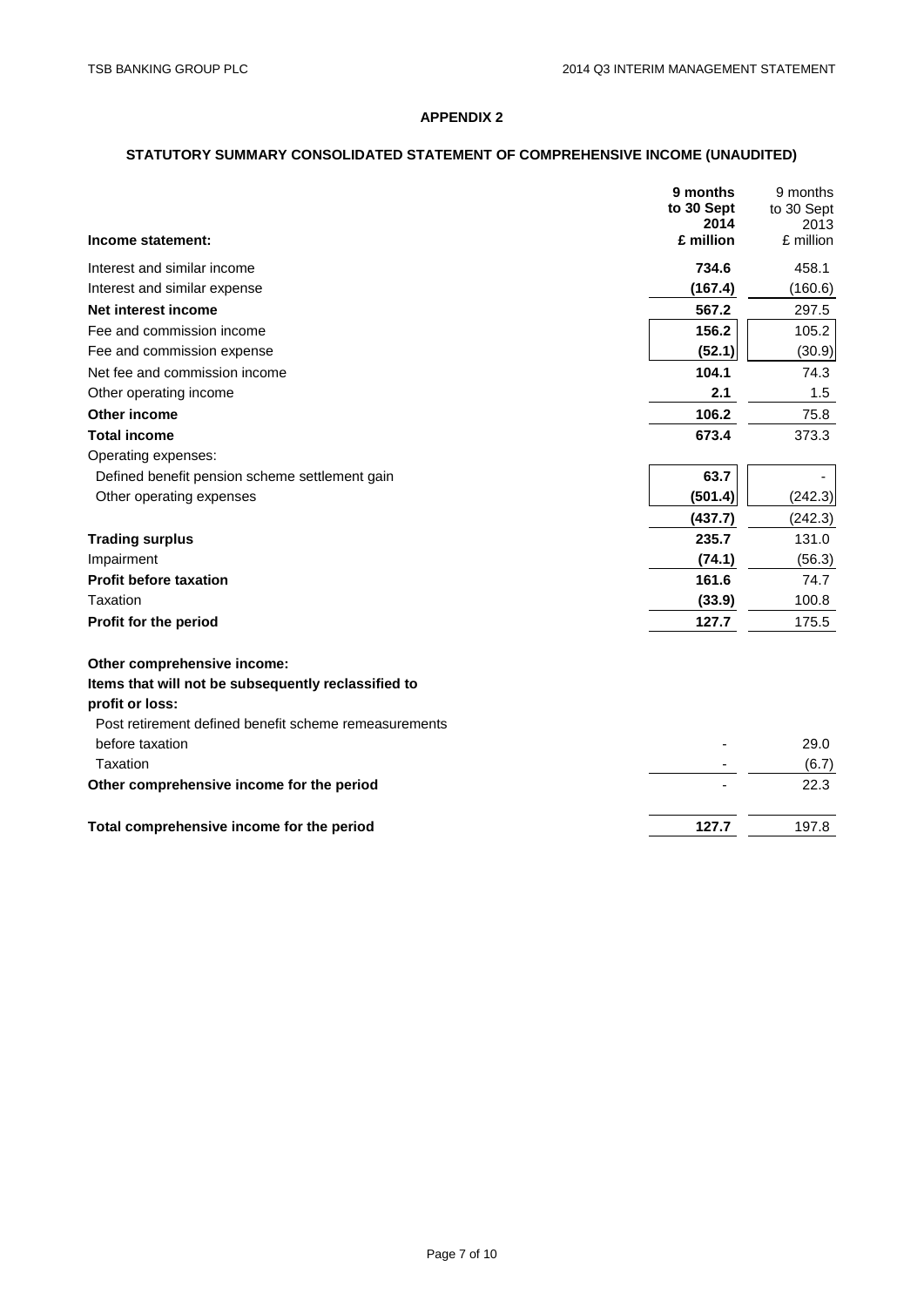## **STATUTORY SUMMARY CONSOLIDATED STATEMENT OF COMPREHENSIVE INCOME (UNAUDITED)**

|                                                       | 9 months<br>to 30 Sept | 9 months<br>to 30 Sept |
|-------------------------------------------------------|------------------------|------------------------|
|                                                       | 2014                   | 2013                   |
| Income statement:                                     | £ million              | £ million              |
| Interest and similar income                           | 734.6                  | 458.1                  |
| Interest and similar expense                          | (167.4)                | (160.6)                |
| Net interest income                                   | 567.2                  | 297.5                  |
| Fee and commission income                             | 156.2                  | 105.2                  |
| Fee and commission expense                            | (52.1)                 | (30.9)                 |
| Net fee and commission income                         | 104.1                  | 74.3                   |
| Other operating income                                | 2.1                    | 1.5                    |
| <b>Other income</b>                                   | 106.2                  | 75.8                   |
| <b>Total income</b>                                   | 673.4                  | 373.3                  |
| Operating expenses:                                   |                        |                        |
| Defined benefit pension scheme settlement gain        | 63.7                   |                        |
| Other operating expenses                              | (501.4)                | (242.3)                |
|                                                       | (437.7)                | (242.3)                |
| <b>Trading surplus</b>                                | 235.7                  | 131.0                  |
| Impairment                                            | (74.1)                 | (56.3)                 |
| <b>Profit before taxation</b>                         | 161.6                  | 74.7                   |
| Taxation                                              | (33.9)                 | 100.8                  |
| Profit for the period                                 | 127.7                  | 175.5                  |
| Other comprehensive income:                           |                        |                        |
| Items that will not be subsequently reclassified to   |                        |                        |
| profit or loss:                                       |                        |                        |
| Post retirement defined benefit scheme remeasurements |                        |                        |
| before taxation                                       |                        | 29.0                   |
| Taxation                                              |                        | (6.7)                  |
| Other comprehensive income for the period             |                        | 22.3                   |
| Total comprehensive income for the period             | 127.7                  | 197.8                  |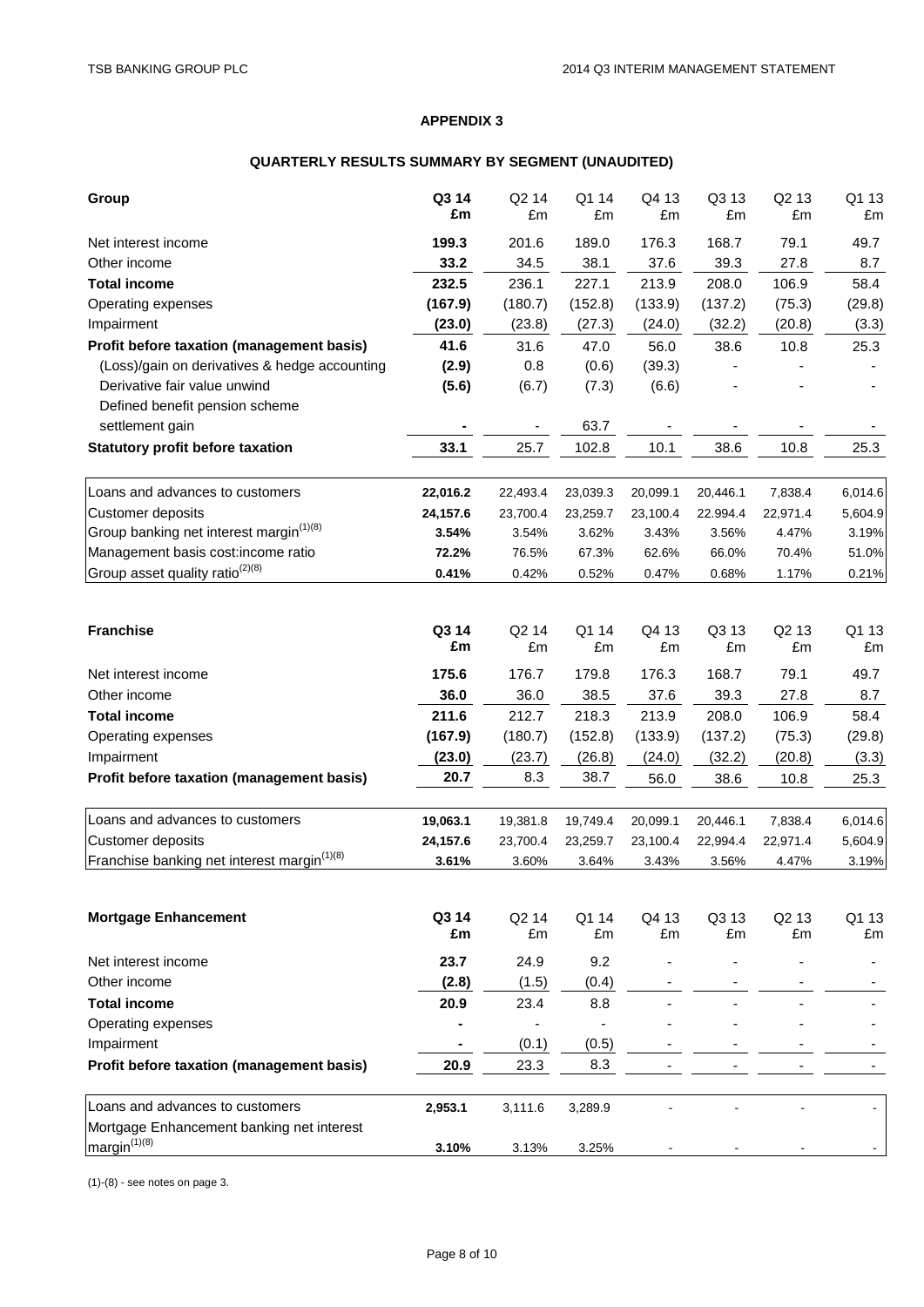# **QUARTERLY RESULTS SUMMARY BY SEGMENT (UNAUDITED)**

| Group                                                   | Q3 14<br>£m | Q <sub>2</sub> 14<br>£m | Q1 14<br>£m    | Q4 13<br>£m | Q3 13<br>£m | Q <sub>2</sub> 13<br>£m | Q1 13<br>£m |
|---------------------------------------------------------|-------------|-------------------------|----------------|-------------|-------------|-------------------------|-------------|
| Net interest income                                     | 199.3       | 201.6                   | 189.0          | 176.3       | 168.7       | 79.1                    | 49.7        |
| Other income                                            | 33.2        | 34.5                    | 38.1           | 37.6        | 39.3        | 27.8                    | 8.7         |
| <b>Total income</b>                                     | 232.5       | 236.1                   | 227.1          | 213.9       | 208.0       | 106.9                   | 58.4        |
| Operating expenses                                      | (167.9)     | (180.7)                 | (152.8)        | (133.9)     | (137.2)     | (75.3)                  | (29.8)      |
| Impairment                                              | (23.0)      | (23.8)                  | (27.3)         | (24.0)      | (32.2)      | (20.8)                  | (3.3)       |
| Profit before taxation (management basis)               | 41.6        | 31.6                    | 47.0           | 56.0        | 38.6        | 10.8                    | 25.3        |
| (Loss)/gain on derivatives & hedge accounting           | (2.9)       | 0.8                     | (0.6)          | (39.3)      |             |                         |             |
| Derivative fair value unwind                            | (5.6)       | (6.7)                   | (7.3)          | (6.6)       |             |                         |             |
| Defined benefit pension scheme                          |             |                         |                |             |             |                         |             |
| settlement gain                                         |             |                         | 63.7           |             |             |                         |             |
| <b>Statutory profit before taxation</b>                 | 33.1        | 25.7                    | 102.8          | 10.1        | 38.6        | 10.8                    | 25.3        |
| Loans and advances to customers                         | 22,016.2    | 22,493.4                | 23,039.3       | 20,099.1    | 20,446.1    | 7,838.4                 | 6,014.6     |
| Customer deposits                                       | 24,157.6    | 23,700.4                | 23,259.7       | 23,100.4    | 22.994.4    | 22,971.4                | 5,604.9     |
| Group banking net interest margin <sup>(1)(8)</sup>     | 3.54%       | 3.54%                   | 3.62%          | 3.43%       | 3.56%       | 4.47%                   | 3.19%       |
| Management basis cost:income ratio                      | 72.2%       | 76.5%                   | 67.3%          | 62.6%       | 66.0%       | 70.4%                   | 51.0%       |
| Group asset quality ratio <sup>(2)(8)</sup>             | 0.41%       | 0.42%                   | 0.52%          | 0.47%       | 0.68%       | 1.17%                   | 0.21%       |
| <b>Franchise</b>                                        | Q3 14<br>£m | Q <sub>2</sub> 14<br>£m | Q1 14<br>£m    | Q4 13<br>£m | Q3 13<br>£m | Q <sub>2</sub> 13<br>£m | Q1 13<br>£m |
| Net interest income                                     | 175.6       | 176.7                   | 179.8          | 176.3       | 168.7       | 79.1                    | 49.7        |
| Other income                                            | 36.0        | 36.0                    | 38.5           | 37.6        | 39.3        | 27.8                    | 8.7         |
| <b>Total income</b>                                     | 211.6       | 212.7                   | 218.3          | 213.9       | 208.0       | 106.9                   | 58.4        |
| Operating expenses                                      | (167.9)     | (180.7)                 | (152.8)        | (133.9)     | (137.2)     | (75.3)                  | (29.8)      |
| Impairment                                              | (23.0)      | (23.7)                  | (26.8)         | (24.0)      | (32.2)      | (20.8)                  | (3.3)       |
| Profit before taxation (management basis)               | 20.7        | 8.3                     | 38.7           | 56.0        | 38.6        | 10.8                    | 25.3        |
| Loans and advances to customers                         | 19,063.1    | 19,381.8                | 19,749.4       | 20,099.1    | 20,446.1    | 7,838.4                 | 6,014.6     |
| <b>Customer deposits</b>                                | 24,157.6    | 23,700.4                | 23,259.7       | 23,100.4    | 22,994.4    | 22,971.4                | 5,604.9     |
| Franchise banking net interest margin <sup>(1)(8)</sup> | 3.61%       | 3.60%                   | 3.64%          | 3.43%       | 3.56%       | 4.47%                   | 3.19%       |
| <b>Mortgage Enhancement</b>                             | Q3 14<br>£m | Q <sub>2</sub> 14<br>£m | Q1 14<br>£m    | Q4 13<br>£m | Q3 13<br>£m | Q <sub>2</sub> 13<br>£m | Q1 13<br>£m |
| Net interest income                                     | 23.7        | 24.9                    | 9.2            |             |             |                         |             |
| Other income                                            | (2.8)       | (1.5)                   | (0.4)          |             |             |                         |             |
| <b>Total income</b>                                     | 20.9        | 23.4                    | 8.8            |             |             |                         |             |
| Operating expenses                                      |             |                         | $\blacksquare$ |             |             |                         |             |
| Impairment                                              | ۰           | (0.1)                   | (0.5)          |             |             |                         |             |
| Profit before taxation (management basis)               | 20.9        | 23.3                    | 8.3            |             |             |                         |             |
| Loans and advances to customers                         | 2,953.1     | 3,111.6                 | 3,289.9        |             |             |                         |             |
| Mortgage Enhancement banking net interest               |             |                         |                |             |             |                         |             |
| margin <sup>(1)(8)</sup>                                | 3.10%       | 3.13%                   | 3.25%          |             |             |                         |             |

(1)-(8) - see notes on page 3.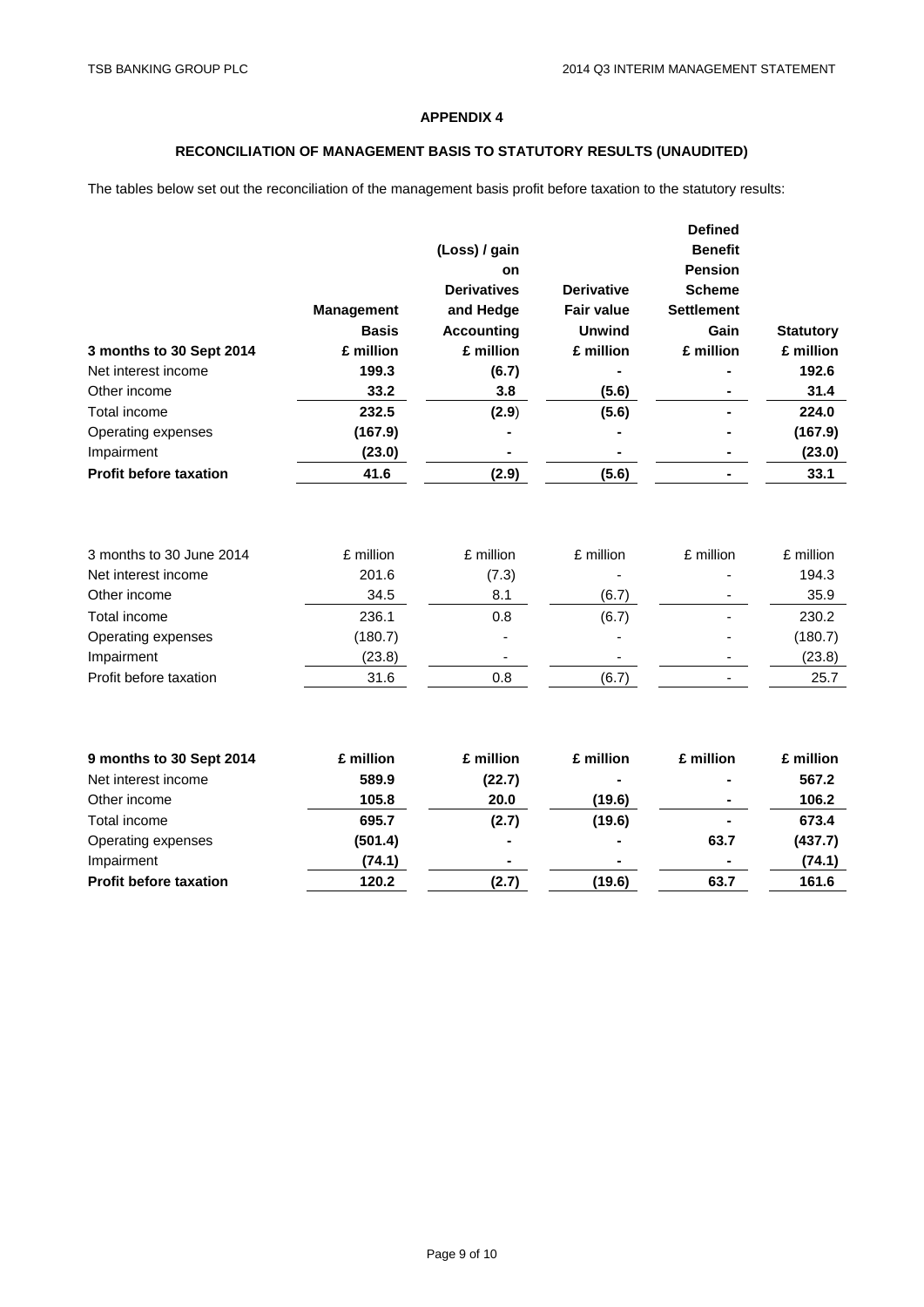# **RECONCILIATION OF MANAGEMENT BASIS TO STATUTORY RESULTS (UNAUDITED)**

The tables below set out the reconciliation of the management basis profit before taxation to the statutory results:

|                                                                                                                                               |                                                                  |                                         |                                      | <b>Defined</b>    |                                                                  |
|-----------------------------------------------------------------------------------------------------------------------------------------------|------------------------------------------------------------------|-----------------------------------------|--------------------------------------|-------------------|------------------------------------------------------------------|
|                                                                                                                                               |                                                                  | (Loss) / gain                           |                                      | <b>Benefit</b>    |                                                                  |
|                                                                                                                                               |                                                                  | on                                      |                                      | <b>Pension</b>    |                                                                  |
|                                                                                                                                               |                                                                  | <b>Derivatives</b>                      | <b>Derivative</b>                    | <b>Scheme</b>     |                                                                  |
|                                                                                                                                               | <b>Management</b>                                                | and Hedge                               | <b>Fair value</b>                    | <b>Settlement</b> |                                                                  |
|                                                                                                                                               | <b>Basis</b>                                                     | <b>Accounting</b>                       | <b>Unwind</b>                        | Gain              | <b>Statutory</b>                                                 |
| 3 months to 30 Sept 2014                                                                                                                      | £ million                                                        | £ million                               | £ million                            | £ million         | £ million                                                        |
| Net interest income                                                                                                                           | 199.3                                                            | (6.7)                                   |                                      |                   | 192.6                                                            |
| Other income                                                                                                                                  | 33.2                                                             | 3.8                                     | (5.6)                                |                   | 31.4                                                             |
| Total income                                                                                                                                  | 232.5                                                            | (2.9)                                   | (5.6)                                |                   | 224.0                                                            |
| Operating expenses                                                                                                                            | (167.9)                                                          |                                         |                                      |                   | (167.9)                                                          |
| Impairment                                                                                                                                    | (23.0)                                                           |                                         |                                      |                   | (23.0)                                                           |
| <b>Profit before taxation</b>                                                                                                                 | 41.6                                                             | (2.9)                                   | (5.6)                                |                   | 33.1                                                             |
| 3 months to 30 June 2014<br>Net interest income<br>Other income<br>Total income<br>Operating expenses<br>Impairment<br>Profit before taxation | £ million<br>201.6<br>34.5<br>236.1<br>(180.7)<br>(23.8)<br>31.6 | £ million<br>(7.3)<br>8.1<br>0.8<br>0.8 | £ million<br>(6.7)<br>(6.7)<br>(6.7) | £ million         | £ million<br>194.3<br>35.9<br>230.2<br>(180.7)<br>(23.8)<br>25.7 |
| 9 months to 30 Sept 2014<br>Net interest income<br>Other income                                                                               | £ million<br>589.9<br>105.8                                      | £ million<br>(22.7)<br>20.0             | £ million<br>(19.6)                  | £ million         | £ million<br>567.2<br>106.2                                      |
| Total income                                                                                                                                  | 695.7                                                            | (2.7)                                   | (19.6)                               |                   | 673.4                                                            |
| Operating expenses                                                                                                                            | (501.4)                                                          |                                         |                                      | 63.7              | (437.7)                                                          |
| Impairment                                                                                                                                    | (74.1)                                                           |                                         |                                      |                   | (74.1)                                                           |
| <b>Profit before taxation</b>                                                                                                                 | 120.2                                                            | (2.7)                                   | (19.6)                               | 63.7              | 161.6                                                            |